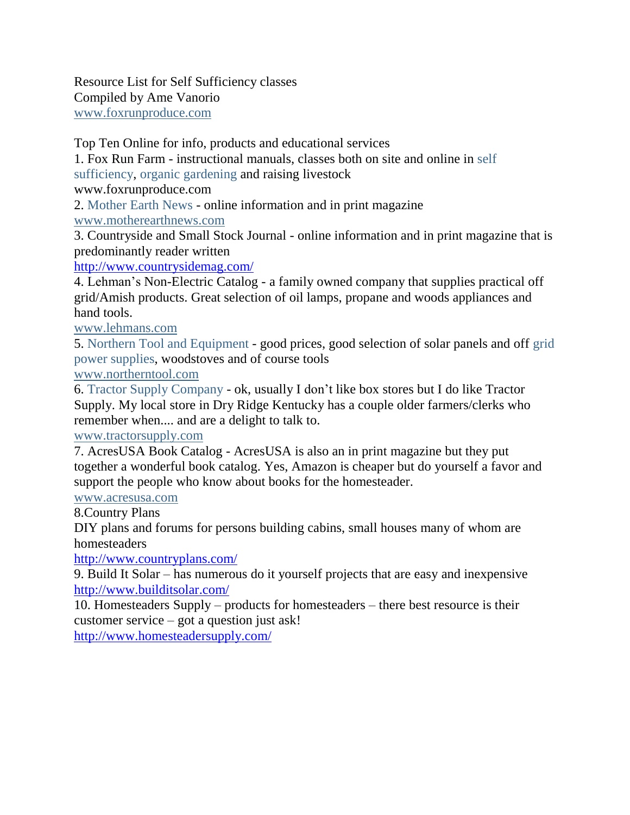Resource List for Self Sufficiency classes Compiled by Ame Vanorio [www.foxrunproduce.com](http://www.foxrunproduce.com/)

Top Ten Online for info, products and educational services

1. Fox Run Farm - instructional manuals, classes both on site and online in self sufficiency, organic gardening and raising livestock

www.foxrunproduce.com

2. Mother Earth News - online information and in print magazine

[www.motherearthnews.com](http://www.motherearthnews.com/)

3. Countryside and Small Stock Journal - online information and in print magazine that is predominantly reader written

<http://www.countrysidemag.com/>

4. Lehman's Non-Electric Catalog - a family owned company that supplies practical off grid/Amish products. Great selection of oil lamps, propane and woods appliances and hand tools.

## [www.lehmans.com](http://www.lehmans.com/)

5. Northern Tool and Equipment - good prices, good selection of solar panels and off grid power supplies, woodstoves and of course tools

## [www.northerntool.com](http://www.northerntool.com/)

6. Tractor Supply Company - ok, usually I don't like box stores but I do like Tractor Supply. My local store in Dry Ridge Kentucky has a couple older farmers/clerks who remember when.... and are a delight to talk to.

## [www.tractorsupply.com](http://www.tractorsupply.com/)

7. AcresUSA Book Catalog - AcresUSA is also an in print magazine but they put together a wonderful book catalog. Yes, Amazon is cheaper but do yourself a favor and support the people who know about books for the homesteader.

## [www.acresusa.com](http://www.acresusa.com/)

8.Country Plans

DIY plans and forums for persons building cabins, small houses many of whom are homesteaders

<http://www.countryplans.com/>

9. Build It Solar – has numerous do it yourself projects that are easy and inexpensive <http://www.builditsolar.com/>

10. Homesteaders Supply – products for homesteaders – there best resource is their customer service – got a question just ask!

<http://www.homesteadersupply.com/>